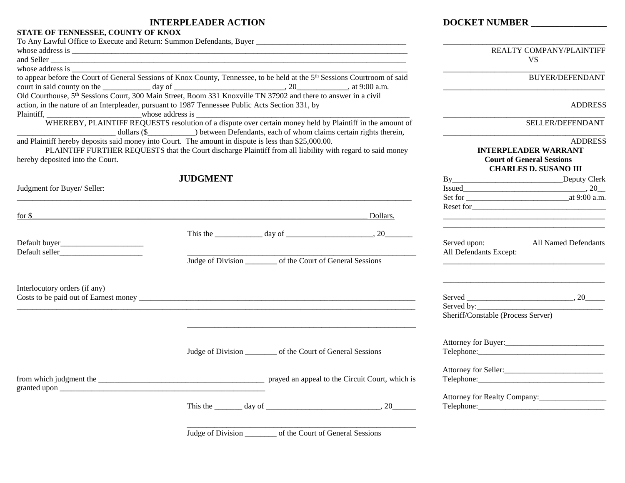### **INTERPLEADER ACTION DOCKET NUMBER \_\_\_\_\_\_\_\_\_\_\_\_\_\_\_\_**

#### **STATE OF TENNESSEE, COUNTY OF KNOX**

|                                                                                                                                                                                            | REALTY COMPANY/PLAINTIFF |                                                                                                                       |          |                                    |                                  |  |
|--------------------------------------------------------------------------------------------------------------------------------------------------------------------------------------------|--------------------------|-----------------------------------------------------------------------------------------------------------------------|----------|------------------------------------|----------------------------------|--|
| and Seller                                                                                                                                                                                 |                          |                                                                                                                       |          |                                    | <b>VS</b>                        |  |
| whose address is                                                                                                                                                                           |                          |                                                                                                                       |          |                                    |                                  |  |
| to appear before the Court of General Sessions of Knox County, Tennessee, to be held at the 5 <sup>th</sup> Sessions Courtroom of said                                                     |                          |                                                                                                                       |          |                                    | <b>BUYER/DEFENDANT</b>           |  |
|                                                                                                                                                                                            |                          |                                                                                                                       |          |                                    |                                  |  |
| Old Courthouse, 5 <sup>th</sup> Sessions Court, 300 Main Street, Room 331 Knoxville TN 37902 and there to answer in a civil                                                                |                          |                                                                                                                       |          |                                    |                                  |  |
| action, in the nature of an Interpleader, pursuant to 1987 Tennessee Public Acts Section 331, by                                                                                           |                          | <u> 2002 - Jan James James James James James James James James James James James James James James James James Ja</u> |          |                                    | <b>ADDRESS</b>                   |  |
| WHEREBY, PLAINTIFF REQUESTS resolution of a dispute over certain money held by Plaintiff in the amount of<br>dollars (\$ ) between Defendants, each of whom claims certain rights therein, | SELLER/DEFENDANT         |                                                                                                                       |          |                                    |                                  |  |
| and Plaintiff hereby deposits said money into Court. The amount in dispute is less than \$25,000.00.                                                                                       |                          |                                                                                                                       |          |                                    | <b>ADDRESS</b>                   |  |
| PLAINTIFF FURTHER REQUESTS that the Court discharge Plaintiff from all liability with regard to said money                                                                                 |                          |                                                                                                                       |          |                                    | <b>INTERPLEADER WARRANT</b>      |  |
| hereby deposited into the Court.                                                                                                                                                           |                          |                                                                                                                       |          |                                    | <b>Court of General Sessions</b> |  |
|                                                                                                                                                                                            |                          |                                                                                                                       |          |                                    | <b>CHARLES D. SUSANO III</b>     |  |
|                                                                                                                                                                                            | <b>JUDGMENT</b>          |                                                                                                                       |          |                                    |                                  |  |
| Judgment for Buyer/ Seller:                                                                                                                                                                |                          |                                                                                                                       |          |                                    |                                  |  |
|                                                                                                                                                                                            |                          |                                                                                                                       |          |                                    |                                  |  |
|                                                                                                                                                                                            |                          |                                                                                                                       |          |                                    |                                  |  |
| for \$<br>,我们也不会有什么。""我们的人,我们也不会有什么?""我们的人,我们也不会有什么?""我们的人,我们的人,我们的人,我们的人,我们的人,我们的人,我们的人,我                                                                                                 |                          |                                                                                                                       | Dollars. |                                    |                                  |  |
|                                                                                                                                                                                            |                          |                                                                                                                       |          |                                    |                                  |  |
|                                                                                                                                                                                            |                          |                                                                                                                       |          |                                    |                                  |  |
|                                                                                                                                                                                            |                          |                                                                                                                       |          | Served upon:                       | All Named Defendants             |  |
|                                                                                                                                                                                            |                          | Judge of Division of the Court of General Sessions                                                                    |          | All Defendants Except:             |                                  |  |
|                                                                                                                                                                                            |                          |                                                                                                                       |          |                                    |                                  |  |
| Interlocutory orders (if any)                                                                                                                                                              |                          |                                                                                                                       |          |                                    |                                  |  |
|                                                                                                                                                                                            |                          |                                                                                                                       |          |                                    |                                  |  |
|                                                                                                                                                                                            |                          |                                                                                                                       |          |                                    |                                  |  |
|                                                                                                                                                                                            |                          |                                                                                                                       |          | Sheriff/Constable (Process Server) |                                  |  |
|                                                                                                                                                                                            |                          |                                                                                                                       |          |                                    |                                  |  |
|                                                                                                                                                                                            |                          | Judge of Division ___________ of the Court of General Sessions                                                        |          |                                    |                                  |  |
|                                                                                                                                                                                            |                          |                                                                                                                       |          |                                    |                                  |  |
|                                                                                                                                                                                            |                          |                                                                                                                       |          |                                    |                                  |  |
|                                                                                                                                                                                            |                          |                                                                                                                       |          |                                    |                                  |  |
|                                                                                                                                                                                            |                          |                                                                                                                       |          |                                    |                                  |  |
|                                                                                                                                                                                            |                          |                                                                                                                       |          |                                    | Attorney for Realty Company:     |  |
|                                                                                                                                                                                            |                          |                                                                                                                       |          |                                    |                                  |  |
|                                                                                                                                                                                            |                          |                                                                                                                       |          |                                    |                                  |  |

Judge of Division \_\_\_\_\_\_\_\_ of the Court of General Sessions

\_\_\_\_\_\_\_\_\_\_\_\_\_\_\_\_\_\_\_\_\_\_\_\_\_\_\_\_\_\_\_\_\_\_\_\_\_\_\_\_\_\_\_\_\_\_\_\_\_\_\_\_\_\_\_\_\_\_